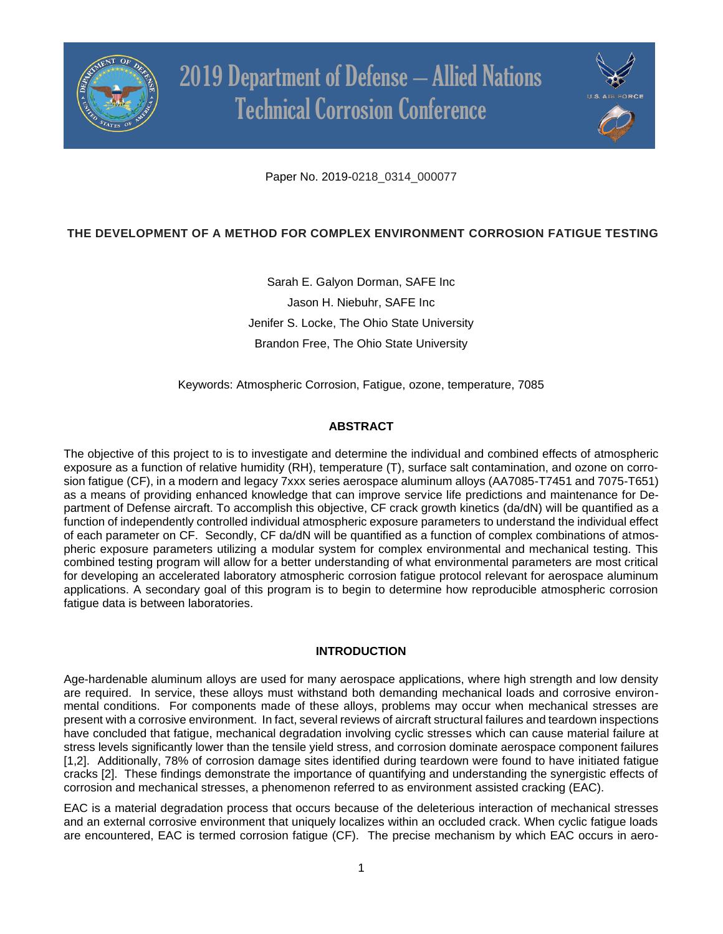



Paper No. 2019-0218\_0314\_000077

# **THE DEVELOPMENT OF A METHOD FOR COMPLEX ENVIRONMENT CORROSION FATIGUE TESTING**

Sarah E. Galyon Dorman, SAFE Inc Jason H. Niebuhr, SAFE Inc Jenifer S. Locke, The Ohio State University Brandon Free, The Ohio State University

Keywords: Atmospheric Corrosion, Fatigue, ozone, temperature, 7085

## **ABSTRACT**

The objective of this project to is to investigate and determine the individual and combined effects of atmospheric exposure as a function of relative humidity (RH), temperature (T), surface salt contamination, and ozone on corrosion fatigue (CF), in a modern and legacy 7xxx series aerospace aluminum alloys (AA7085-T7451 and 7075-T651) as a means of providing enhanced knowledge that can improve service life predictions and maintenance for Department of Defense aircraft. To accomplish this objective, CF crack growth kinetics (da/dN) will be quantified as a function of independently controlled individual atmospheric exposure parameters to understand the individual effect of each parameter on CF. Secondly, CF da/dN will be quantified as a function of complex combinations of atmospheric exposure parameters utilizing a modular system for complex environmental and mechanical testing. This combined testing program will allow for a better understanding of what environmental parameters are most critical for developing an accelerated laboratory atmospheric corrosion fatigue protocol relevant for aerospace aluminum applications. A secondary goal of this program is to begin to determine how reproducible atmospheric corrosion fatigue data is between laboratories.

### **INTRODUCTION**

Age-hardenable aluminum alloys are used for many aerospace applications, where high strength and low density are required. In service, these alloys must withstand both demanding mechanical loads and corrosive environmental conditions. For components made of these alloys, problems may occur when mechanical stresses are present with a corrosive environment. In fact, several reviews of aircraft structural failures and teardown inspections have concluded that fatigue, mechanical degradation involving cyclic stresses which can cause material failure at stress levels significantly lower than the tensile yield stress, and corrosion dominate aerospace component failures [1,2]. Additionally, 78% of corrosion damage sites identified during teardown were found to have initiated fatigue cracks [2]. These findings demonstrate the importance of quantifying and understanding the synergistic effects of corrosion and mechanical stresses, a phenomenon referred to as environment assisted cracking (EAC).

EAC is a material degradation process that occurs because of the deleterious interaction of mechanical stresses and an external corrosive environment that uniquely localizes within an occluded crack. When cyclic fatigue loads are encountered, EAC is termed corrosion fatigue (CF). The precise mechanism by which EAC occurs in aero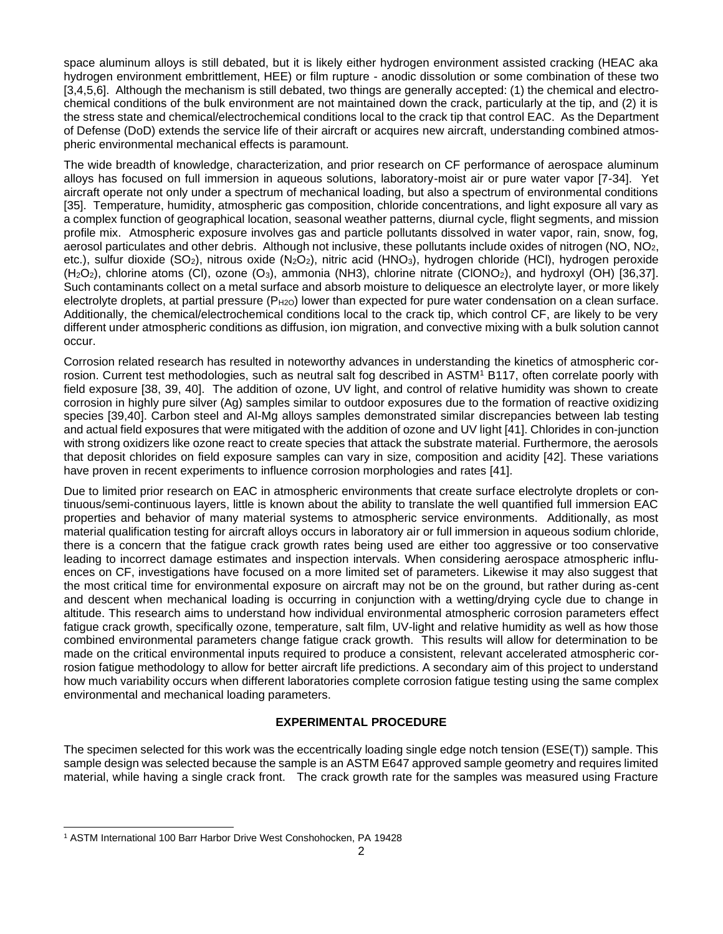space aluminum alloys is still debated, but it is likely either hydrogen environment assisted cracking (HEAC aka hydrogen environment embrittlement, HEE) or film rupture - anodic dissolution or some combination of these two [3,4,5,6]. Although the mechanism is still debated, two things are generally accepted: (1) the chemical and electrochemical conditions of the bulk environment are not maintained down the crack, particularly at the tip, and (2) it is the stress state and chemical/electrochemical conditions local to the crack tip that control EAC. As the Department of Defense (DoD) extends the service life of their aircraft or acquires new aircraft, understanding combined atmospheric environmental mechanical effects is paramount.

The wide breadth of knowledge, characterization, and prior research on CF performance of aerospace aluminum alloys has focused on full immersion in aqueous solutions, laboratory-moist air or pure water vapor [7-34]. Yet aircraft operate not only under a spectrum of mechanical loading, but also a spectrum of environmental conditions [35]. Temperature, humidity, atmospheric gas composition, chloride concentrations, and light exposure all vary as a complex function of geographical location, seasonal weather patterns, diurnal cycle, flight segments, and mission profile mix. Atmospheric exposure involves gas and particle pollutants dissolved in water vapor, rain, snow, fog, aerosol particulates and other debris. Although not inclusive, these pollutants include oxides of nitrogen (NO, NO2, etc.), sulfur dioxide (SO<sub>2</sub>), nitrous oxide (N<sub>2</sub>O<sub>2</sub>), nitric acid (HNO<sub>3</sub>), hydrogen chloride (HCl), hydrogen peroxide  $(H<sub>2</sub>O<sub>2</sub>)$ , chlorine atoms (Cl), ozone (O<sub>3</sub>), ammonia (NH3), chlorine nitrate (ClONO<sub>2</sub>), and hydroxyl (OH) [36,37]. Such contaminants collect on a metal surface and absorb moisture to deliquesce an electrolyte layer, or more likely electrolyte droplets, at partial pressure ( $P_{H2O}$ ) lower than expected for pure water condensation on a clean surface. Additionally, the chemical/electrochemical conditions local to the crack tip, which control CF, are likely to be very different under atmospheric conditions as diffusion, ion migration, and convective mixing with a bulk solution cannot occur.

Corrosion related research has resulted in noteworthy advances in understanding the kinetics of atmospheric corrosion. Current test methodologies, such as neutral salt fog described in ASTM<sup>1</sup> B117, often correlate poorly with field exposure [38, 39, 40]. The addition of ozone, UV light, and control of relative humidity was shown to create corrosion in highly pure silver (Ag) samples similar to outdoor exposures due to the formation of reactive oxidizing species [39,40]. Carbon steel and Al-Mg alloys samples demonstrated similar discrepancies between lab testing and actual field exposures that were mitigated with the addition of ozone and UV light [41]. Chlorides in con-junction with strong oxidizers like ozone react to create species that attack the substrate material. Furthermore, the aerosols that deposit chlorides on field exposure samples can vary in size, composition and acidity [42]. These variations have proven in recent experiments to influence corrosion morphologies and rates [41].

Due to limited prior research on EAC in atmospheric environments that create surface electrolyte droplets or continuous/semi-continuous layers, little is known about the ability to translate the well quantified full immersion EAC properties and behavior of many material systems to atmospheric service environments. Additionally, as most material qualification testing for aircraft alloys occurs in laboratory air or full immersion in aqueous sodium chloride, there is a concern that the fatigue crack growth rates being used are either too aggressive or too conservative leading to incorrect damage estimates and inspection intervals. When considering aerospace atmospheric influences on CF, investigations have focused on a more limited set of parameters. Likewise it may also suggest that the most critical time for environmental exposure on aircraft may not be on the ground, but rather during as-cent and descent when mechanical loading is occurring in conjunction with a wetting/drying cycle due to change in altitude. This research aims to understand how individual environmental atmospheric corrosion parameters effect fatigue crack growth, specifically ozone, temperature, salt film, UV-light and relative humidity as well as how those combined environmental parameters change fatigue crack growth. This results will allow for determination to be made on the critical environmental inputs required to produce a consistent, relevant accelerated atmospheric corrosion fatigue methodology to allow for better aircraft life predictions. A secondary aim of this project to understand how much variability occurs when different laboratories complete corrosion fatigue testing using the same complex environmental and mechanical loading parameters.

### **EXPERIMENTAL PROCEDURE**

The specimen selected for this work was the eccentrically loading single edge notch tension (ESE(T)) sample. This sample design was selected because the sample is an ASTM E647 approved sample geometry and requires limited material, while having a single crack front. The crack growth rate for the samples was measured using Fracture

<sup>1</sup> ASTM International 100 Barr Harbor Drive West Conshohocken, PA 19428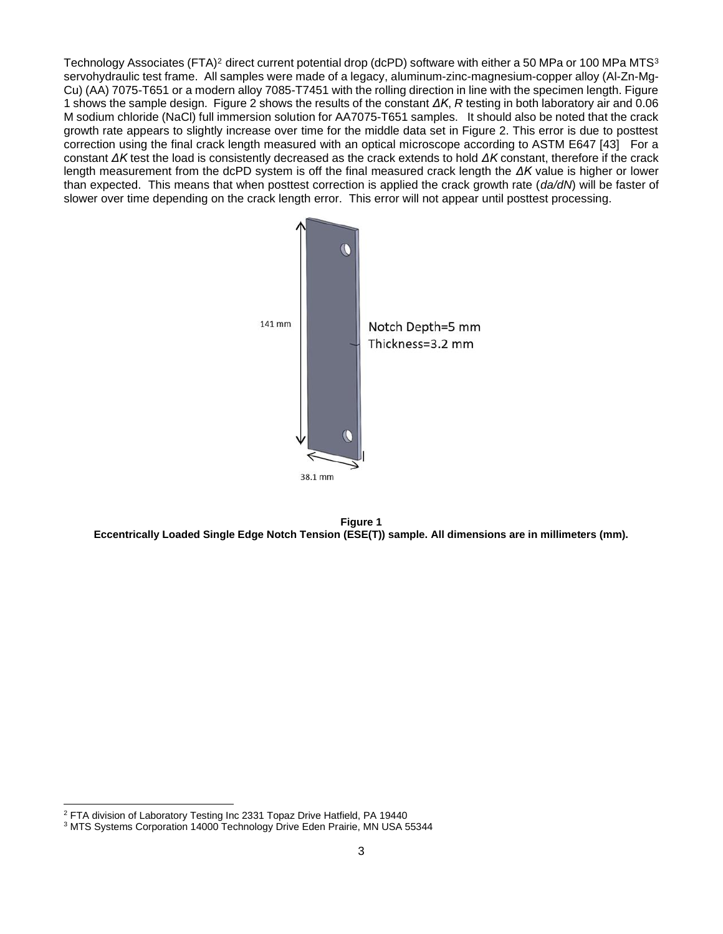Technology Associates (FTA)<sup>2</sup> direct current potential drop (dcPD) software with either a 50 MPa or 100 MPa MTS<sup>3</sup> servohydraulic test frame. All samples were made of a legacy, aluminum-zinc-magnesium-copper alloy (Al-Zn-Mg-Cu) (AA) 7075-T651 or a modern alloy 7085-T7451 with the rolling direction in line with the specimen length. Figure 1 shows the sample design. Figure 2 shows the results of the constant *ΔK*, *R* testing in both laboratory air and 0.06 M sodium chloride (NaCl) full immersion solution for AA7075-T651 samples. It should also be noted that the crack growth rate appears to slightly increase over time for the middle data set in Figure 2. This error is due to posttest correction using the final crack length measured with an optical microscope according to ASTM E647 [43] For a constant *ΔK* test the load is consistently decreased as the crack extends to hold *ΔK* constant, therefore if the crack length measurement from the dcPD system is off the final measured crack length the *ΔK* value is higher or lower than expected. This means that when posttest correction is applied the crack growth rate (*da/dN*) will be faster of slower over time depending on the crack length error. This error will not appear until posttest processing.





<sup>2</sup> FTA division of Laboratory Testing Inc 2331 Topaz Drive Hatfield, PA 19440

<sup>3</sup> MTS Systems Corporation 14000 Technology Drive Eden Prairie, MN USA 55344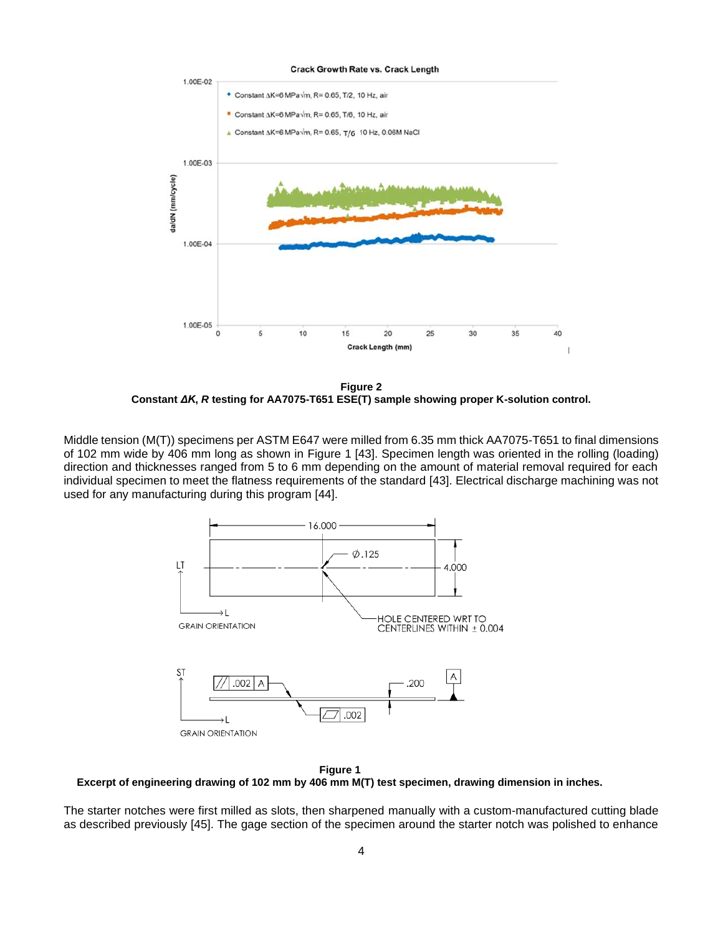**Crack Growth Rate vs. Crack Length** 



**Figure 2 Constant** *ΔK***,** *R* **testing for AA7075-T651 ESE(T) sample showing proper K-solution control.**

Middle tension (M(T)) specimens per ASTM E647 were milled from 6.35 mm thick AA7075-T651 to final dimensions of 102 mm wide by 406 mm long as shown in [Figure 1](#page-3-0) [43]. Specimen length was oriented in the rolling (loading) direction and thicknesses ranged from 5 to 6 mm depending on the amount of material removal required for each individual specimen to meet the flatness requirements of the standard [43]. Electrical discharge machining was not used for any manufacturing during this program [44].



<span id="page-3-0"></span>**Figure 1 Excerpt of engineering drawing of 102 mm by 406 mm M(T) test specimen, drawing dimension in inches.**

The starter notches were first milled as slots, then sharpened manually with a custom-manufactured cutting blade as described previously [45]. The gage section of the specimen around the starter notch was polished to enhance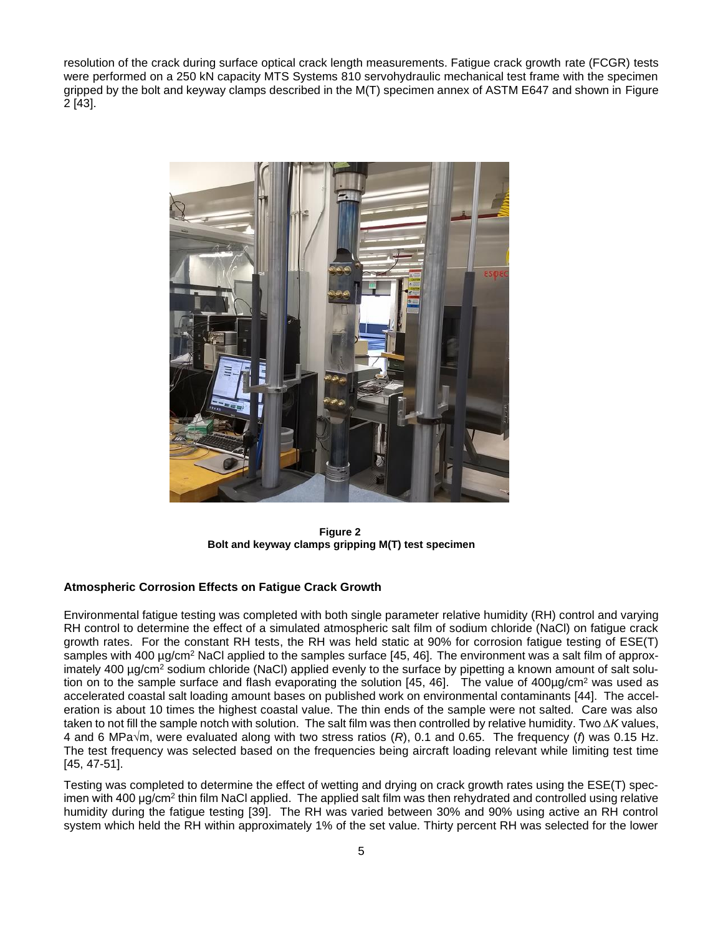resolution of the crack during surface optical crack length measurements. Fatigue crack growth rate (FCGR) tests were performed on a 250 kN capacity MTS Systems 810 servohydraulic mechanical test frame with the specimen gripped by the bolt and keyway clamps described in the M(T) specimen annex of ASTM E647 and shown in [Figure](#page-4-0)  [2](#page-4-0) [43].



**Figure 2 Bolt and keyway clamps gripping M(T) test specimen**

### <span id="page-4-0"></span>**Atmospheric Corrosion Effects on Fatigue Crack Growth**

Environmental fatigue testing was completed with both single parameter relative humidity (RH) control and varying RH control to determine the effect of a simulated atmospheric salt film of sodium chloride (NaCl) on fatigue crack growth rates. For the constant RH tests, the RH was held static at 90% for corrosion fatigue testing of ESE(T) samples with 400 µg/cm<sup>2</sup> NaCl applied to the samples surface [45, 46]. The environment was a salt film of approximately 400 µg/cm<sup>2</sup> sodium chloride (NaCl) applied evenly to the surface by pipetting a known amount of salt solution on to the sample surface and flash evaporating the solution  $[45, 46]$ . The value of  $400\mu g/cm^2$  was used as accelerated coastal salt loading amount bases on published work on environmental contaminants [44]. The acceleration is about 10 times the highest coastal value. The thin ends of the sample were not salted. Care was also taken to not fill the sample notch with solution. The salt film was then controlled by relative humidity. Two *∆K* values, 4 and 6 MPa√m, were evaluated along with two stress ratios (*R*), 0.1 and 0.65. The frequency (*f*) was 0.15 Hz. The test frequency was selected based on the frequencies being aircraft loading relevant while limiting test time [45, 47-51].

Testing was completed to determine the effect of wetting and drying on crack growth rates using the ESE(T) specimen with 400 μg/cm<sup>2</sup> thin film NaCl applied. The applied salt film was then rehydrated and controlled using relative humidity during the fatigue testing [39]. The RH was varied between 30% and 90% using active an RH control system which held the RH within approximately 1% of the set value. Thirty percent RH was selected for the lower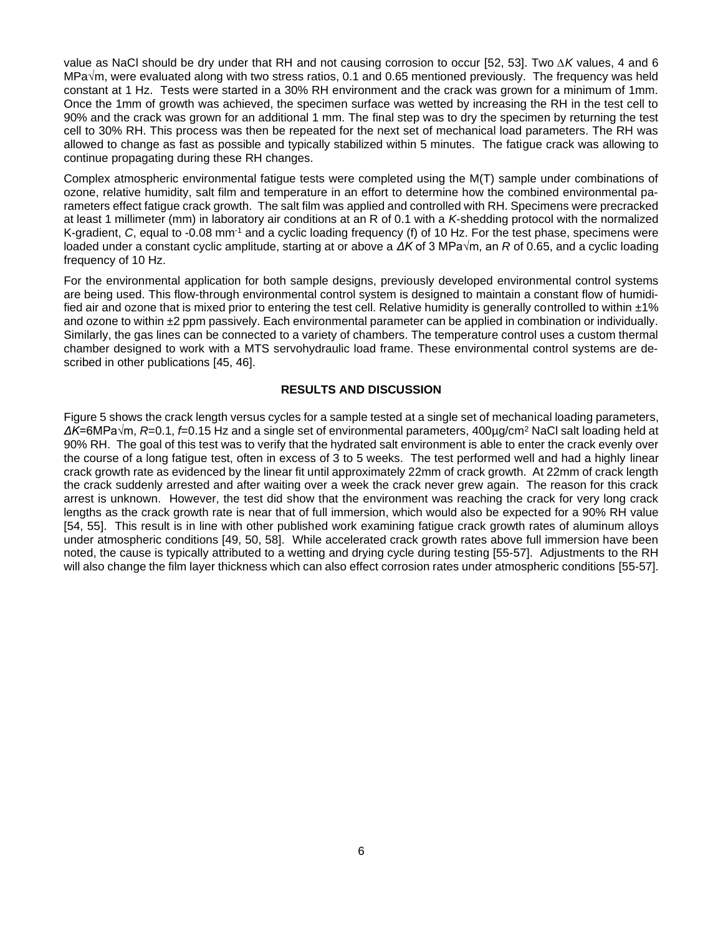value as NaCl should be dry under that RH and not causing corrosion to occur [52, 53]. Two *∆K* values, 4 and 6 MPa√m, were evaluated along with two stress ratios, 0.1 and 0.65 mentioned previously. The frequency was held constant at 1 Hz. Tests were started in a 30% RH environment and the crack was grown for a minimum of 1mm. Once the 1mm of growth was achieved, the specimen surface was wetted by increasing the RH in the test cell to 90% and the crack was grown for an additional 1 mm. The final step was to dry the specimen by returning the test cell to 30% RH. This process was then be repeated for the next set of mechanical load parameters. The RH was allowed to change as fast as possible and typically stabilized within 5 minutes. The fatigue crack was allowing to continue propagating during these RH changes.

Complex atmospheric environmental fatigue tests were completed using the M(T) sample under combinations of ozone, relative humidity, salt film and temperature in an effort to determine how the combined environmental parameters effect fatigue crack growth. The salt film was applied and controlled with RH. Specimens were precracked at least 1 millimeter (mm) in laboratory air conditions at an R of 0.1 with a *K*-shedding protocol with the normalized K-gradient, *C*, equal to -0.08 mm-1 and a cyclic loading frequency (f) of 10 Hz. For the test phase, specimens were loaded under a constant cyclic amplitude, starting at or above a *ΔK* of 3 MPa√m, an *R* of 0.65, and a cyclic loading frequency of 10 Hz.

For the environmental application for both sample designs, previously developed environmental control systems are being used. This flow-through environmental control system is designed to maintain a constant flow of humidified air and ozone that is mixed prior to entering the test cell. Relative humidity is generally controlled to within  $\pm 1\%$ and ozone to within  $\pm 2$  ppm passively. Each environmental parameter can be applied in combination or individually. Similarly, the gas lines can be connected to a variety of chambers. The temperature control uses a custom thermal chamber designed to work with a MTS servohydraulic load frame. These environmental control systems are described in other publications [45, 46].

### **RESULTS AND DISCUSSION**

Figure 5 shows the crack length versus cycles for a sample tested at a single set of mechanical loading parameters, *ΔK*=6MPa√m, *R*=0.1, *f*=0.15 Hz and a single set of environmental parameters, 400µg/cm<sup>2</sup> NaCl salt loading held at 90% RH. The goal of this test was to verify that the hydrated salt environment is able to enter the crack evenly over the course of a long fatigue test, often in excess of 3 to 5 weeks. The test performed well and had a highly linear crack growth rate as evidenced by the linear fit until approximately 22mm of crack growth. At 22mm of crack length the crack suddenly arrested and after waiting over a week the crack never grew again. The reason for this crack arrest is unknown. However, the test did show that the environment was reaching the crack for very long crack lengths as the crack growth rate is near that of full immersion, which would also be expected for a 90% RH value [54, 55]. This result is in line with other published work examining fatigue crack growth rates of aluminum alloys under atmospheric conditions [49, 50, 58]. While accelerated crack growth rates above full immersion have been noted, the cause is typically attributed to a wetting and drying cycle during testing [55-57]. Adjustments to the RH will also change the film layer thickness which can also effect corrosion rates under atmospheric conditions [55-57].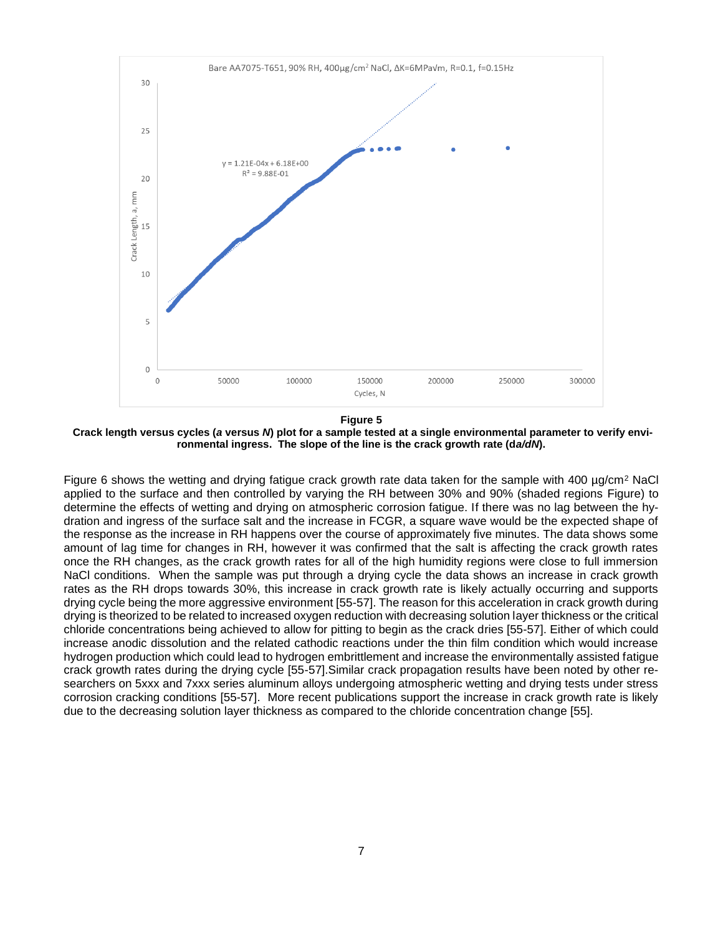

**Figure 5**

**Crack length versus cycles (***a* **versus** *N***) plot for a sample tested at a single environmental parameter to verify environmental ingress. The slope of the line is the crack growth rate (d***a/dN***).**

Figure 6 shows the wetting and drying fatigue crack growth rate data taken for the sample with 400 µg/cm<sup>2</sup> NaCl applied to the surface and then controlled by varying the RH between 30% and 90% (shaded regions [Figure\)](#page-7-0) to determine the effects of wetting and drying on atmospheric corrosion fatigue. If there was no lag between the hydration and ingress of the surface salt and the increase in FCGR, a square wave would be the expected shape of the response as the increase in RH happens over the course of approximately five minutes. The data shows some amount of lag time for changes in RH, however it was confirmed that the salt is affecting the crack growth rates once the RH changes, as the crack growth rates for all of the high humidity regions were close to full immersion NaCl conditions. When the sample was put through a drying cycle the data shows an increase in crack growth rates as the RH drops towards 30%, this increase in crack growth rate is likely actually occurring and supports drying cycle being the more aggressive environment [55-57]. The reason for this acceleration in crack growth during drying is theorized to be related to increased oxygen reduction with decreasing solution layer thickness or the critical chloride concentrations being achieved to allow for pitting to begin as the crack dries [55-57]. Either of which could increase anodic dissolution and the related cathodic reactions under the thin film condition which would increase hydrogen production which could lead to hydrogen embrittlement and increase the environmentally assisted fatigue crack growth rates during the drying cycle [55-57].Similar crack propagation results have been noted by other researchers on 5xxx and 7xxx series aluminum alloys undergoing atmospheric wetting and drying tests under stress corrosion cracking conditions [55-57]. More recent publications support the increase in crack growth rate is likely due to the decreasing solution layer thickness as compared to the chloride concentration change [55].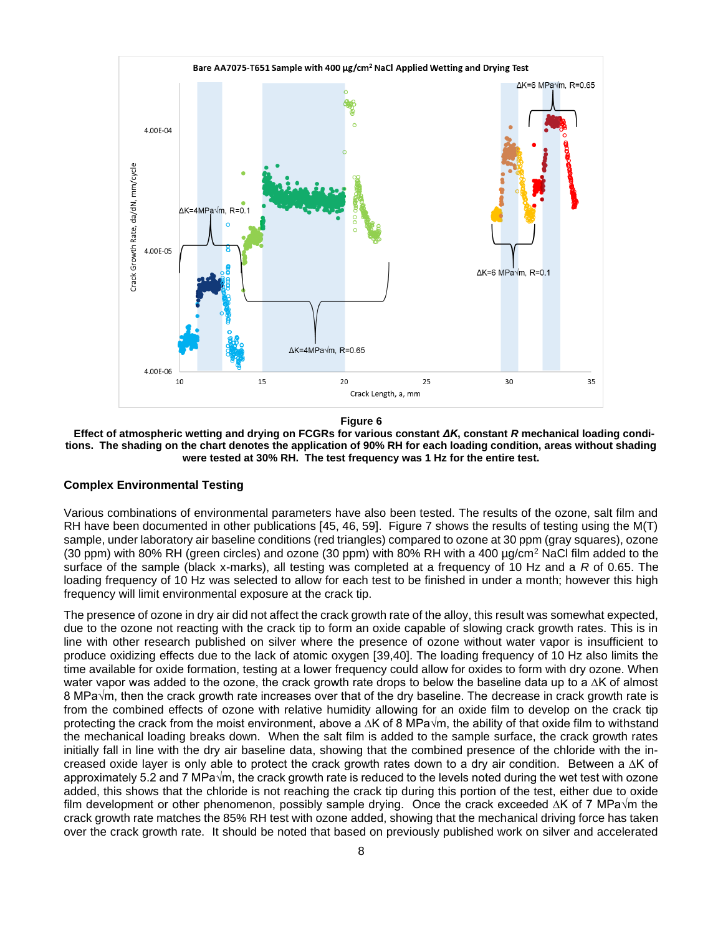

**Figure 6**

<span id="page-7-0"></span> **Effect of atmospheric wetting and drying on FCGRs for various constant** *ΔK***, constant** *R* **mechanical loading conditions. The shading on the chart denotes the application of 90% RH for each loading condition, areas without shading were tested at 30% RH. The test frequency was 1 Hz for the entire test.** 

#### **Complex Environmental Testing**

Various combinations of environmental parameters have also been tested. The results of the ozone, salt film and RH have been documented in other publications [45, 46, 59]. Figure 7 shows the results of testing using the M(T) sample, under laboratory air baseline conditions (red triangles) compared to ozone at 30 ppm (gray squares), ozone (30 ppm) with 80% RH (green circles) and ozone (30 ppm) with 80% RH with a 400 µg/cm<sup>2</sup> NaCl film added to the surface of the sample (black x-marks), all testing was completed at a frequency of 10 Hz and a *R* of 0.65. The loading frequency of 10 Hz was selected to allow for each test to be finished in under a month; however this high frequency will limit environmental exposure at the crack tip.

The presence of ozone in dry air did not affect the crack growth rate of the alloy, this result was somewhat expected, due to the ozone not reacting with the crack tip to form an oxide capable of slowing crack growth rates. This is in line with other research published on silver where the presence of ozone without water vapor is insufficient to produce oxidizing effects due to the lack of atomic oxygen [39,40]. The loading frequency of 10 Hz also limits the time available for oxide formation, testing at a lower frequency could allow for oxides to form with dry ozone. When water vapor was added to the ozone, the crack growth rate drops to below the baseline data up to a ∆K of almost 8 MPa√m, then the crack growth rate increases over that of the dry baseline. The decrease in crack growth rate is from the combined effects of ozone with relative humidity allowing for an oxide film to develop on the crack tip protecting the crack from the moist environment, above a ∆K of 8 MPa√m, the ability of that oxide film to withstand the mechanical loading breaks down. When the salt film is added to the sample surface, the crack growth rates initially fall in line with the dry air baseline data, showing that the combined presence of the chloride with the increased oxide layer is only able to protect the crack growth rates down to a dry air condition. Between a ∆K of approximately 5.2 and 7 MPa√m, the crack growth rate is reduced to the levels noted during the wet test with ozone added, this shows that the chloride is not reaching the crack tip during this portion of the test, either due to oxide film development or other phenomenon, possibly sample drying. Once the crack exceeded ∆K of 7 MPa√m the crack growth rate matches the 85% RH test with ozone added, showing that the mechanical driving force has taken over the crack growth rate. It should be noted that based on previously published work on silver and accelerated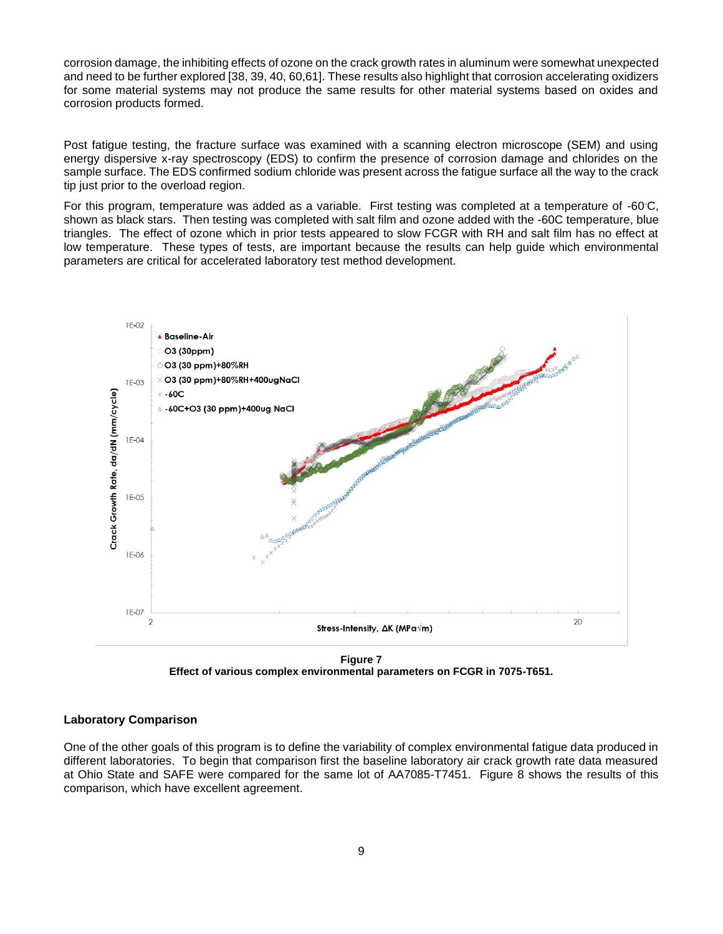corrosion damage, the inhibiting effects of ozone on the crack growth rates in aluminum were somewhat unexpected and need to be further explored [38, 39, 40, 60,61]. These results also highlight that corrosion accelerating oxidizers for some material systems may not produce the same results for other material systems based on oxides and corrosion products formed.

Post fatigue testing, the fracture surface was examined with a scanning electron microscope (SEM) and using energy dispersive x-ray spectroscopy (EDS) to confirm the presence of corrosion damage and chlorides on the sample surface. The EDS confirmed sodium chloride was present across the fatigue surface all the way to the crack tip just prior to the overload region.

For this program, temperature was added as a variable. First testing was completed at a temperature of -60◦C, shown as black stars. Then testing was completed with salt film and ozone added with the -60C temperature, blue triangles. The effect of ozone which in prior tests appeared to slow FCGR with RH and salt film has no effect at low temperature. These types of tests, are important because the results can help guide which environmental parameters are critical for accelerated laboratory test method development.



**Figure 7 Effect of various complex environmental parameters on FCGR in 7075-T651.**

### **Laboratory Comparison**

One of the other goals of this program is to define the variability of complex environmental fatigue data produced in different laboratories. To begin that comparison first the baseline laboratory air crack growth rate data measured at Ohio State and SAFE were compared for the same lot of AA7085-T7451. Figure 8 shows the results of this comparison, which have excellent agreement.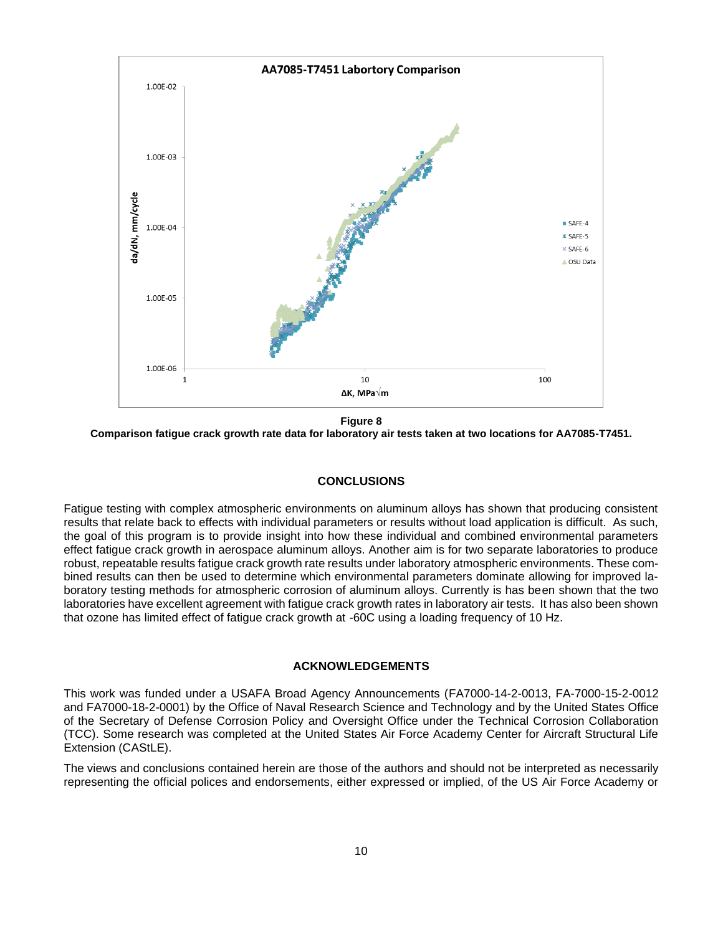

**Figure 8 Comparison fatigue crack growth rate data for laboratory air tests taken at two locations for AA7085-T7451.**

### **CONCLUSIONS**

Fatigue testing with complex atmospheric environments on aluminum alloys has shown that producing consistent results that relate back to effects with individual parameters or results without load application is difficult. As such, the goal of this program is to provide insight into how these individual and combined environmental parameters effect fatigue crack growth in aerospace aluminum alloys. Another aim is for two separate laboratories to produce robust, repeatable results fatigue crack growth rate results under laboratory atmospheric environments. These combined results can then be used to determine which environmental parameters dominate allowing for improved laboratory testing methods for atmospheric corrosion of aluminum alloys. Currently is has been shown that the two laboratories have excellent agreement with fatigue crack growth rates in laboratory air tests. It has also been shown that ozone has limited effect of fatigue crack growth at -60C using a loading frequency of 10 Hz.

#### **ACKNOWLEDGEMENTS**

This work was funded under a USAFA Broad Agency Announcements (FA7000-14-2-0013, FA-7000-15-2-0012 and FA7000-18-2-0001) by the Office of Naval Research Science and Technology and by the United States Office of the Secretary of Defense Corrosion Policy and Oversight Office under the Technical Corrosion Collaboration (TCC). Some research was completed at the United States Air Force Academy Center for Aircraft Structural Life Extension (CAStLE).

The views and conclusions contained herein are those of the authors and should not be interpreted as necessarily representing the official polices and endorsements, either expressed or implied, of the US Air Force Academy or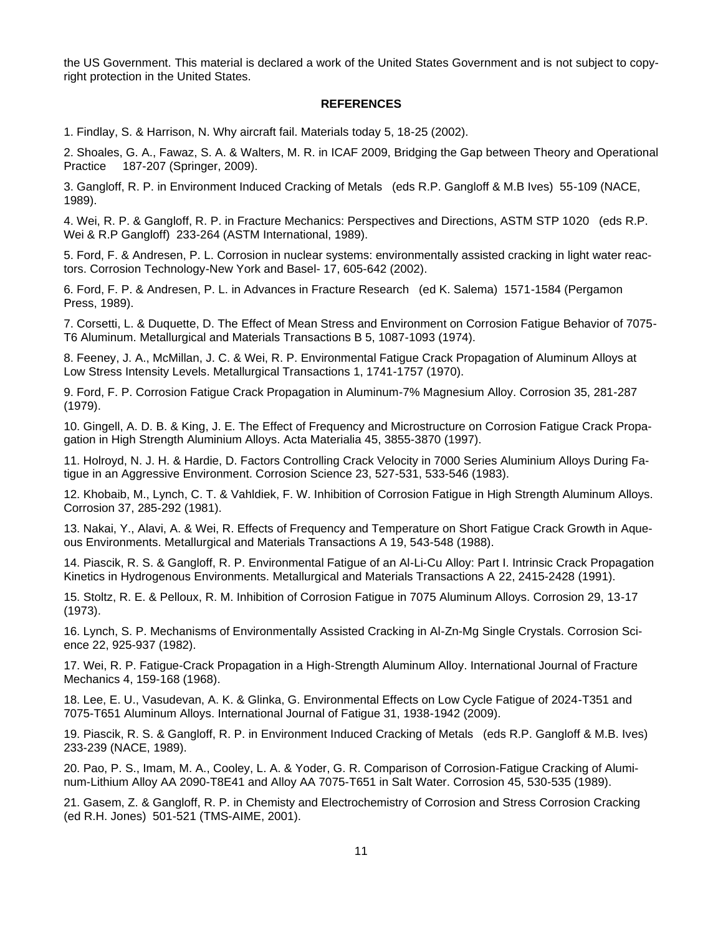the US Government. This material is declared a work of the United States Government and is not subject to copyright protection in the United States.

#### **REFERENCES**

1. Findlay, S. & Harrison, N. Why aircraft fail. Materials today 5, 18-25 (2002).

2. Shoales, G. A., Fawaz, S. A. & Walters, M. R. in ICAF 2009, Bridging the Gap between Theory and Operational Practice 187-207 (Springer, 2009).

3. Gangloff, R. P. in Environment Induced Cracking of Metals (eds R.P. Gangloff & M.B Ives) 55-109 (NACE, 1989).

4. Wei, R. P. & Gangloff, R. P. in Fracture Mechanics: Perspectives and Directions, ASTM STP 1020 (eds R.P. Wei & R.P Gangloff) 233-264 (ASTM International, 1989).

5. Ford, F. & Andresen, P. L. Corrosion in nuclear systems: environmentally assisted cracking in light water reactors. Corrosion Technology-New York and Basel- 17, 605-642 (2002).

6. Ford, F. P. & Andresen, P. L. in Advances in Fracture Research (ed K. Salema) 1571-1584 (Pergamon Press, 1989).

7. Corsetti, L. & Duquette, D. The Effect of Mean Stress and Environment on Corrosion Fatigue Behavior of 7075- T6 Aluminum. Metallurgical and Materials Transactions B 5, 1087-1093 (1974).

8. Feeney, J. A., McMillan, J. C. & Wei, R. P. Environmental Fatigue Crack Propagation of Aluminum Alloys at Low Stress Intensity Levels. Metallurgical Transactions 1, 1741-1757 (1970).

9. Ford, F. P. Corrosion Fatigue Crack Propagation in Aluminum-7% Magnesium Alloy. Corrosion 35, 281-287 (1979).

10. Gingell, A. D. B. & King, J. E. The Effect of Frequency and Microstructure on Corrosion Fatigue Crack Propagation in High Strength Aluminium Alloys. Acta Materialia 45, 3855-3870 (1997).

11. Holroyd, N. J. H. & Hardie, D. Factors Controlling Crack Velocity in 7000 Series Aluminium Alloys During Fatigue in an Aggressive Environment. Corrosion Science 23, 527-531, 533-546 (1983).

12. Khobaib, M., Lynch, C. T. & Vahldiek, F. W. Inhibition of Corrosion Fatigue in High Strength Aluminum Alloys. Corrosion 37, 285-292 (1981).

13. Nakai, Y., Alavi, A. & Wei, R. Effects of Frequency and Temperature on Short Fatigue Crack Growth in Aqueous Environments. Metallurgical and Materials Transactions A 19, 543-548 (1988).

14. Piascik, R. S. & Gangloff, R. P. Environmental Fatigue of an Al-Li-Cu Alloy: Part I. Intrinsic Crack Propagation Kinetics in Hydrogenous Environments. Metallurgical and Materials Transactions A 22, 2415-2428 (1991).

15. Stoltz, R. E. & Pelloux, R. M. Inhibition of Corrosion Fatigue in 7075 Aluminum Alloys. Corrosion 29, 13-17 (1973).

16. Lynch, S. P. Mechanisms of Environmentally Assisted Cracking in Al-Zn-Mg Single Crystals. Corrosion Science 22, 925-937 (1982).

17. Wei, R. P. Fatigue-Crack Propagation in a High-Strength Aluminum Alloy. International Journal of Fracture Mechanics 4, 159-168 (1968).

18. Lee, E. U., Vasudevan, A. K. & Glinka, G. Environmental Effects on Low Cycle Fatigue of 2024-T351 and 7075-T651 Aluminum Alloys. International Journal of Fatigue 31, 1938-1942 (2009).

19. Piascik, R. S. & Gangloff, R. P. in Environment Induced Cracking of Metals (eds R.P. Gangloff & M.B. Ives) 233-239 (NACE, 1989).

20. Pao, P. S., Imam, M. A., Cooley, L. A. & Yoder, G. R. Comparison of Corrosion-Fatigue Cracking of Aluminum-Lithium Alloy AA 2090-T8E41 and Alloy AA 7075-T651 in Salt Water. Corrosion 45, 530-535 (1989).

21. Gasem, Z. & Gangloff, R. P. in Chemisty and Electrochemistry of Corrosion and Stress Corrosion Cracking (ed R.H. Jones) 501-521 (TMS-AIME, 2001).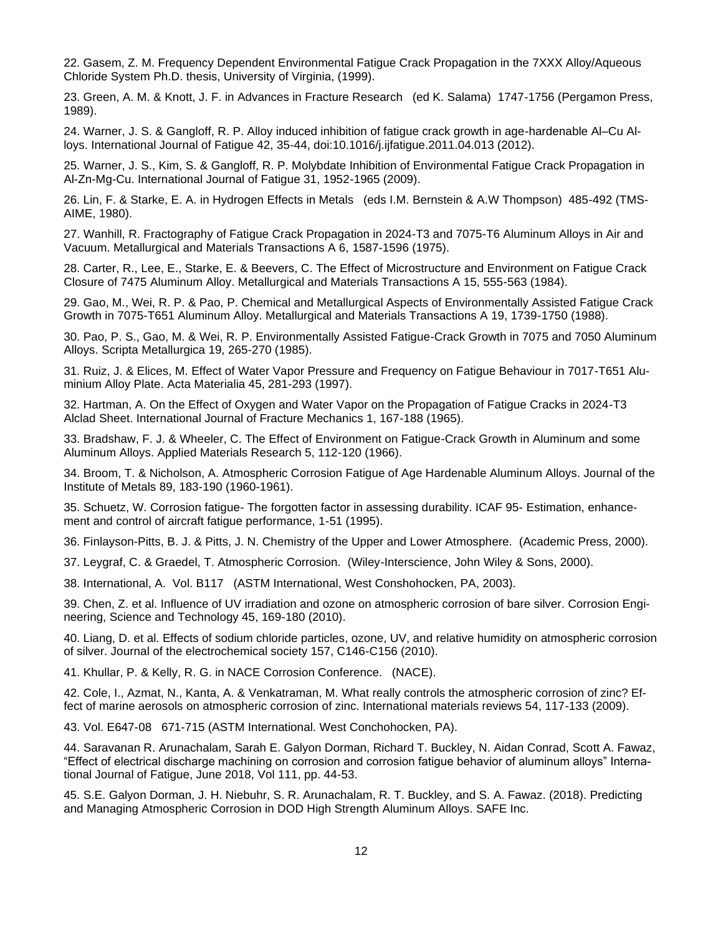22. Gasem, Z. M. Frequency Dependent Environmental Fatigue Crack Propagation in the 7XXX Alloy/Aqueous Chloride System Ph.D. thesis, University of Virginia, (1999).

23. Green, A. M. & Knott, J. F. in Advances in Fracture Research (ed K. Salama) 1747-1756 (Pergamon Press, 1989).

24. Warner, J. S. & Gangloff, R. P. Alloy induced inhibition of fatigue crack growth in age-hardenable Al–Cu Alloys. International Journal of Fatigue 42, 35-44, doi:10.1016/j.ijfatigue.2011.04.013 (2012).

25. Warner, J. S., Kim, S. & Gangloff, R. P. Molybdate Inhibition of Environmental Fatigue Crack Propagation in Al-Zn-Mg-Cu. International Journal of Fatigue 31, 1952-1965 (2009).

26. Lin, F. & Starke, E. A. in Hydrogen Effects in Metals (eds I.M. Bernstein & A.W Thompson) 485-492 (TMS-AIME, 1980).

27. Wanhill, R. Fractography of Fatigue Crack Propagation in 2024-T3 and 7075-T6 Aluminum Alloys in Air and Vacuum. Metallurgical and Materials Transactions A 6, 1587-1596 (1975).

28. Carter, R., Lee, E., Starke, E. & Beevers, C. The Effect of Microstructure and Environment on Fatigue Crack Closure of 7475 Aluminum Alloy. Metallurgical and Materials Transactions A 15, 555-563 (1984).

29. Gao, M., Wei, R. P. & Pao, P. Chemical and Metallurgical Aspects of Environmentally Assisted Fatigue Crack Growth in 7075-T651 Aluminum Alloy. Metallurgical and Materials Transactions A 19, 1739-1750 (1988).

30. Pao, P. S., Gao, M. & Wei, R. P. Environmentally Assisted Fatigue-Crack Growth in 7075 and 7050 Aluminum Alloys. Scripta Metallurgica 19, 265-270 (1985).

31. Ruiz, J. & Elices, M. Effect of Water Vapor Pressure and Frequency on Fatigue Behaviour in 7017-T651 Aluminium Alloy Plate. Acta Materialia 45, 281-293 (1997).

32. Hartman, A. On the Effect of Oxygen and Water Vapor on the Propagation of Fatigue Cracks in 2024-T3 Alclad Sheet. International Journal of Fracture Mechanics 1, 167-188 (1965).

33. Bradshaw, F. J. & Wheeler, C. The Effect of Environment on Fatigue-Crack Growth in Aluminum and some Aluminum Alloys. Applied Materials Research 5, 112-120 (1966).

34. Broom, T. & Nicholson, A. Atmospheric Corrosion Fatigue of Age Hardenable Aluminum Alloys. Journal of the Institute of Metals 89, 183-190 (1960-1961).

35. Schuetz, W. Corrosion fatigue- The forgotten factor in assessing durability. ICAF 95- Estimation, enhancement and control of aircraft fatigue performance, 1-51 (1995).

36. Finlayson-Pitts, B. J. & Pitts, J. N. Chemistry of the Upper and Lower Atmosphere. (Academic Press, 2000).

37. Leygraf, C. & Graedel, T. Atmospheric Corrosion. (Wiley-Interscience, John Wiley & Sons, 2000).

38. International, A. Vol. B117 (ASTM International, West Conshohocken, PA, 2003).

39. Chen, Z. et al. Influence of UV irradiation and ozone on atmospheric corrosion of bare silver. Corrosion Engineering, Science and Technology 45, 169-180 (2010).

40. Liang, D. et al. Effects of sodium chloride particles, ozone, UV, and relative humidity on atmospheric corrosion of silver. Journal of the electrochemical society 157, C146-C156 (2010).

41. Khullar, P. & Kelly, R. G. in NACE Corrosion Conference. (NACE).

42. Cole, I., Azmat, N., Kanta, A. & Venkatraman, M. What really controls the atmospheric corrosion of zinc? Effect of marine aerosols on atmospheric corrosion of zinc. International materials reviews 54, 117-133 (2009).

43. Vol. E647-08 671-715 (ASTM International. West Conchohocken, PA).

44. Saravanan R. Arunachalam, Sarah E. Galyon Dorman, Richard T. Buckley, N. Aidan Conrad, Scott A. Fawaz, "Effect of electrical discharge machining on corrosion and corrosion fatigue behavior of aluminum alloys" International Journal of Fatigue, June 2018, Vol 111, pp. 44-53.

45. S.E. Galyon Dorman, J. H. Niebuhr, S. R. Arunachalam, R. T. Buckley, and S. A. Fawaz. (2018). Predicting and Managing Atmospheric Corrosion in DOD High Strength Aluminum Alloys. SAFE Inc.